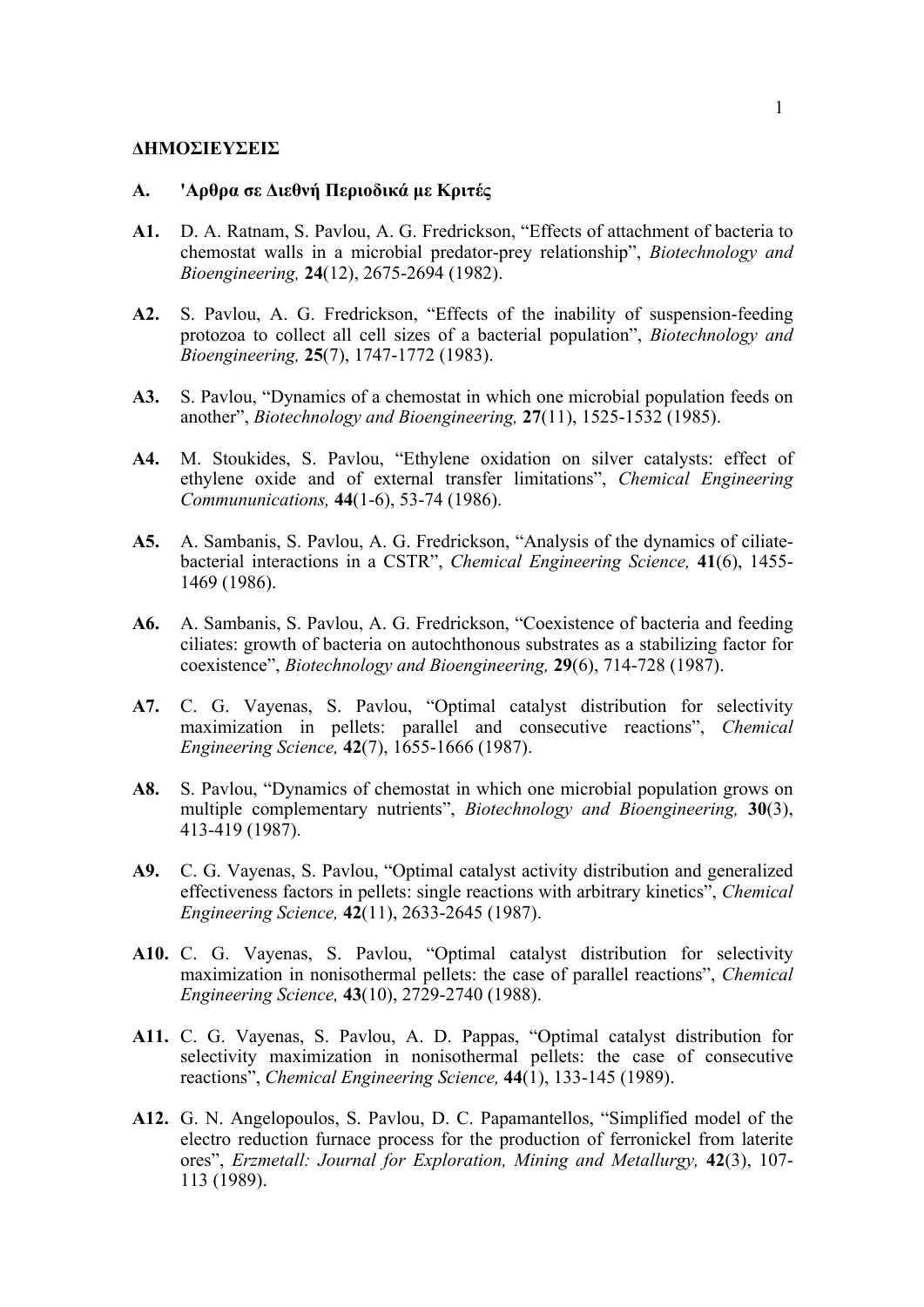#### **ΔHMOΣIEYΣEIΣ**

### **A. 'Aρθρα σε Διεθνή Περιοδικά µε Kριτές**

- **A1.** D. A. Ratnam, S. Pavlou, A. G. Fredrickson, "Effects of attachment of bacteria to chemostat walls in a microbial predator-prey relationship", *Biotechnology and Bioengineering,* **24**(12), 2675-2694 (1982).
- **A2.** S. Pavlou, A. G. Fredrickson, "Effects of the inability of suspension-feeding protozoa to collect all cell sizes of a bacterial population", *Biotechnology and Bioengineering,* **25**(7), 1747-1772 (1983).
- **A3.** S. Pavlou, "Dynamics of a chemostat in which one microbial population feeds on another", *Biotechnology and Bioengineering,* **27**(11), 1525-1532 (1985).
- **A4.** M. Stoukides, S. Pavlou, "Ethylene oxidation on silver catalysts: effect of ethylene oxide and of external transfer limitations", *Chemical Engineering Commununications,* **44**(1-6), 53-74 (1986).
- **A5.** A. Sambanis, S. Pavlou, A. G. Fredrickson, "Analysis of the dynamics of ciliatebacterial interactions in a CSTR", *Chemical Engineering Science,* **41**(6), 1455- 1469 (1986).
- **A6.** A. Sambanis, S. Pavlou, A. G. Fredrickson, "Coexistence of bacteria and feeding ciliates: growth of bacteria on autochthonous substrates as a stabilizing factor for coexistence", *Biotechnology and Bioengineering,* **29**(6), 714-728 (1987).
- **A7.** C. G. Vayenas, S. Pavlou, "Optimal catalyst distribution for selectivity maximization in pellets: parallel and consecutive reactions", *Chemical Engineering Science,* **42**(7), 1655-1666 (1987).
- **A8.** S. Pavlou, "Dynamics of chemostat in which one microbial population grows on multiple complementary nutrients", *Biotechnology and Bioengineering,* **30**(3), 413-419 (1987).
- **A9.** C. G. Vayenas, S. Pavlou, "Optimal catalyst activity distribution and generalized effectiveness factors in pellets: single reactions with arbitrary kinetics", *Chemical Engineering Science,* **42**(11), 2633-2645 (1987).
- **A10.** C. G. Vayenas, S. Pavlou, "Optimal catalyst distribution for selectivity maximization in nonisothermal pellets: the case of parallel reactions", *Chemical Engineering Science,* **43**(10), 2729-2740 (1988).
- **A11.** C. G. Vayenas, S. Pavlou, A. D. Pappas, "Optimal catalyst distribution for selectivity maximization in nonisothermal pellets: the case of consecutive reactions", *Chemical Engineering Science,* **44**(1), 133-145 (1989).
- **A12.** G. N. Angelopoulos, S. Pavlou, D. C. Papamantellos, "Simplified model of the electro reduction furnace process for the production of ferronickel from laterite ores", *Erzmetall: Journal for Exploration, Mining and Metallurgy,* **42**(3), 107- 113 (1989).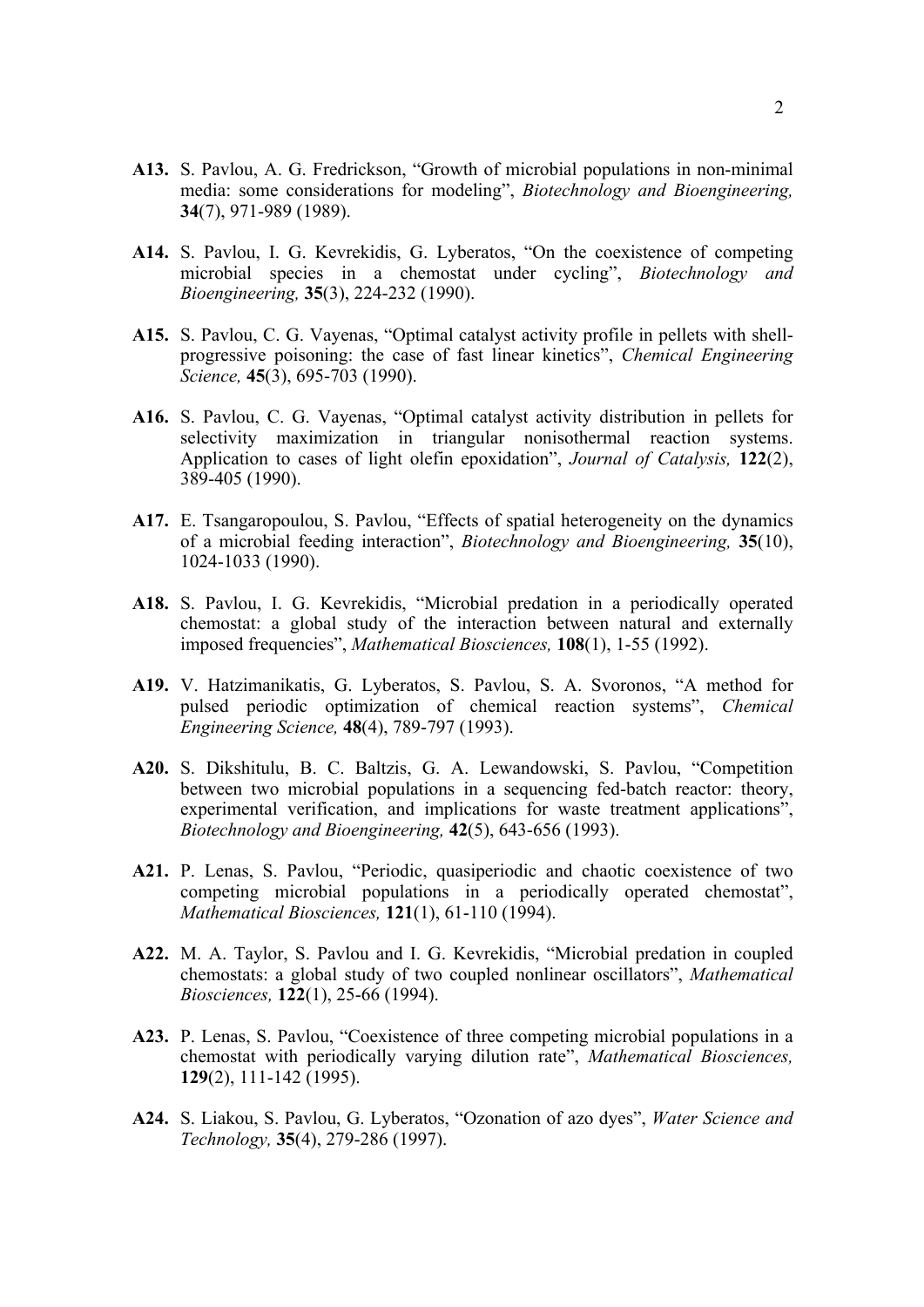- **A13.** S. Pavlou, A. G. Fredrickson, "Growth of microbial populations in non-minimal media: some considerations for modeling", *Biotechnology and Bioengineering,* **34**(7), 971-989 (1989).
- **A14.** S. Pavlou, I. G. Kevrekidis, G. Lyberatos, "On the coexistence of competing microbial species in a chemostat under cycling", *Biotechnology and Bioengineering,* **35**(3), 224-232 (1990).
- **A15.** S. Pavlou, C. G. Vayenas, "Optimal catalyst activity profile in pellets with shellprogressive poisoning: the case of fast linear kinetics", *Chemical Engineering Science,* **45**(3), 695-703 (1990).
- **A16.** S. Pavlou, C. G. Vayenas, "Optimal catalyst activity distribution in pellets for selectivity maximization in triangular nonisothermal reaction systems. Application to cases of light olefin epoxidation", *Journal of Catalysis,* **122**(2), 389-405 (1990).
- **A17.** E. Tsangaropoulou, S. Pavlou, "Effects of spatial heterogeneity on the dynamics of a microbial feeding interaction", *Biotechnology and Bioengineering,* **35**(10), 1024-1033 (1990).
- **A18.** S. Pavlou, I. G. Kevrekidis, "Microbial predation in a periodically operated chemostat: a global study of the interaction between natural and externally imposed frequencies", *Mathematical Biosciences,* **108**(1), 1-55 (1992).
- **A19.** V. Hatzimanikatis, G. Lyberatos, S. Pavlou, S. A. Svoronos, "A method for pulsed periodic optimization of chemical reaction systems", *Chemical Engineering Science,* **48**(4), 789-797 (1993).
- **A20.** S. Dikshitulu, B. C. Baltzis, G. A. Lewandowski, S. Pavlou, "Competition between two microbial populations in a sequencing fed-batch reactor: theory, experimental verification, and implications for waste treatment applications", *Biotechnology and Bioengineering,* **42**(5), 643-656 (1993).
- **A21.** P. Lenas, S. Pavlou, "Periodic, quasiperiodic and chaotic coexistence of two competing microbial populations in a periodically operated chemostat", *Mathematical Biosciences,* **121**(1), 61-110 (1994).
- **A22.** M. A. Taylor, S. Pavlou and I. G. Kevrekidis, "Microbial predation in coupled chemostats: a global study of two coupled nonlinear oscillators", *Mathematical Biosciences,* **122**(1), 25-66 (1994).
- **A23.** P. Lenas, S. Pavlou, "Coexistence of three competing microbial populations in a chemostat with periodically varying dilution rate", *Mathematical Biosciences,* **129**(2), 111-142 (1995).
- **A24.** S. Liakou, S. Pavlou, G. Lyberatos, "Ozonation of azo dyes", *Water Science and Technology,* **35**(4), 279-286 (1997).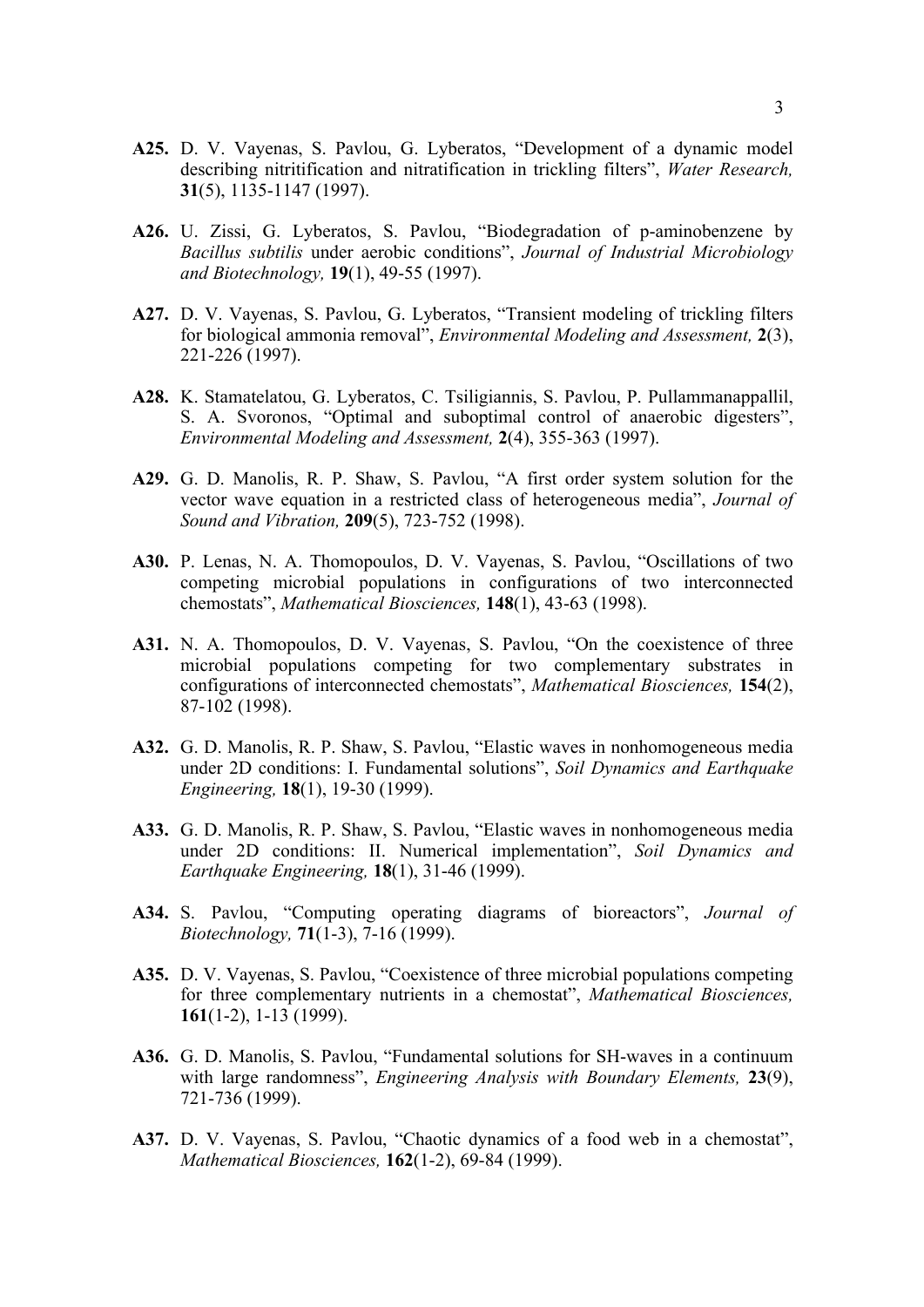- **A25.** D. V. Vayenas, S. Pavlou, G. Lyberatos, "Development of a dynamic model describing nitritification and nitratification in trickling filters", *Water Research,* **31**(5), 1135-1147 (1997).
- **A26.** U. Zissi, G. Lyberatos, S. Pavlou, "Biodegradation of p-aminobenzene by *Bacillus subtilis* under aerobic conditions", *Journal of Industrial Microbiology and Biotechnology,* **19**(1), 49-55 (1997).
- **A27.** D. V. Vayenas, S. Pavlou, G. Lyberatos, "Transient modeling of trickling filters for biological ammonia removal", *Environmental Modeling and Assessment,* **2**(3), 221-226 (1997).
- **A28.** K. Stamatelatou, G. Lyberatos, C. Tsiligiannis, S. Pavlou, P. Pullammanappallil, S. A. Svoronos, "Optimal and suboptimal control of anaerobic digesters", *Environmental Modeling and Assessment,* **2**(4), 355-363 (1997).
- **A29.** G. D. Manolis, R. P. Shaw, S. Pavlou, "A first order system solution for the vector wave equation in a restricted class of heterogeneous media", *Journal of Sound and Vibration,* **209**(5), 723-752 (1998).
- **A30.** P. Lenas, N. A. Thomopoulos, D. V. Vayenas, S. Pavlou, "Oscillations of two competing microbial populations in configurations of two interconnected chemostats", *Mathematical Biosciences,* **148**(1), 43-63 (1998).
- **A31.** N. A. Thomopoulos, D. V. Vayenas, S. Pavlou, "On the coexistence of three microbial populations competing for two complementary substrates in configurations of interconnected chemostats", *Mathematical Biosciences,* **154**(2), 87-102 (1998).
- **A32.** G. D. Manolis, R. P. Shaw, S. Pavlou, "Elastic waves in nonhomogeneous media under 2D conditions: I. Fundamental solutions", *Soil Dynamics and Earthquake Engineering,* **18**(1), 19-30 (1999).
- **A33.** G. D. Manolis, R. P. Shaw, S. Pavlou, "Elastic waves in nonhomogeneous media under 2D conditions: II. Numerical implementation", *Soil Dynamics and Earthquake Engineering,* **18**(1), 31-46 (1999).
- **A34.** S. Pavlou, "Computing operating diagrams of bioreactors", *Journal of Biotechnology,* **71**(1-3), 7-16 (1999).
- **A35.** D. V. Vayenas, S. Pavlou, "Coexistence of three microbial populations competing for three complementary nutrients in a chemostat", *Mathematical Biosciences,* **161**(1-2), 1-13 (1999).
- **A36.** G. D. Manolis, S. Pavlou, "Fundamental solutions for SH-waves in a continuum with large randomness", *Engineering Analysis with Boundary Elements,* **23**(9), 721-736 (1999).
- **A37.** D. V. Vayenas, S. Pavlou, "Chaotic dynamics of a food web in a chemostat", *Mathematical Biosciences,* **162**(1-2), 69-84 (1999).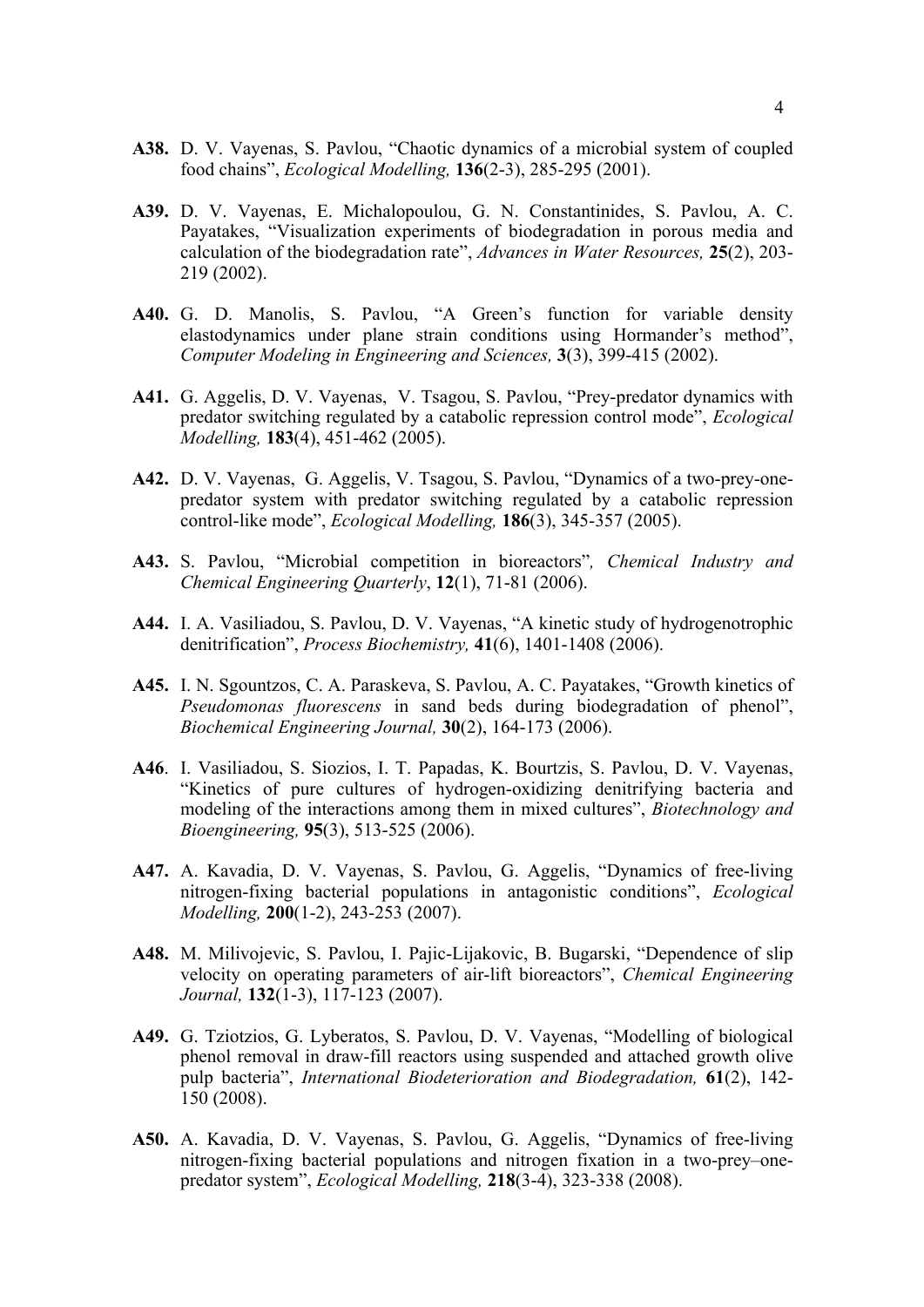- **A38.** D. V. Vayenas, S. Pavlou, "Chaotic dynamics of a microbial system of coupled food chains", *Ecological Modelling,* **136**(2-3), 285-295 (2001).
- **A39.** D. V. Vayenas, E. Michalopoulou, G. N. Constantinides, S. Pavlou, A. C. Payatakes, "Visualization experiments of biodegradation in porous media and calculation of the biodegradation rate", *Advances in Water Resources,* **25**(2), 203- 219 (2002).
- **A40.** G. D. Manolis, S. Pavlou, "A Green's function for variable density elastodynamics under plane strain conditions using Hormander's method", *Computer Modeling in Engineering and Sciences,* **3**(3), 399-415 (2002).
- **A41.** G. Aggelis, D. V. Vayenas, V. Tsagou, S. Pavlou, "Prey-predator dynamics with predator switching regulated by a catabolic repression control mode", *Ecological Modelling,* **183**(4), 451-462 (2005).
- **A42.** D. V. Vayenas, G. Aggelis, V. Tsagou, S. Pavlou, "Dynamics of a two-prey-onepredator system with predator switching regulated by a catabolic repression control-like mode", *Ecological Modelling,* **186**(3), 345-357 (2005).
- **A43.** S. Pavlou, "Microbial competition in bioreactors"*, Chemical Industry and Chemical Engineering Quarterly*, **12**(1), 71-81 (2006).
- **A44.** I. A. Vasiliadou, S. Pavlou, D. V. Vayenas, "A kinetic study of hydrogenotrophic denitrification", *Process Biochemistry,* **41**(6), 1401-1408 (2006).
- **A45.** I. N. Sgountzos, C. A. Paraskeva, S. Pavlou, A. C. Payatakes, "Growth kinetics of *Pseudomonas fluorescens* in sand beds during biodegradation of phenol", *Biochemical Engineering Journal,* **30**(2), 164-173 (2006).
- **A46**. I. Vasiliadou, S. Siozios, I. T. Papadas, K. Bourtzis, S. Pavlou, D. V. Vayenas, "Kinetics of pure cultures of hydrogen-oxidizing denitrifying bacteria and modeling of the interactions among them in mixed cultures", *Biotechnology and Bioengineering,* **95**(3), 513-525 (2006).
- **A47.** A. Kavadia, D. V. Vayenas, S. Pavlou, G. Aggelis, "Dynamics of free-living nitrogen-fixing bacterial populations in antagonistic conditions", *Ecological Modelling,* **200**(1-2), 243-253 (2007).
- **A48.** M. Milivojevic, S. Pavlou, I. Pajic-Lijakovic, B. Bugarski, "Dependence of slip velocity on operating parameters of air-lift bioreactors", *Chemical Engineering Journal,* **132**(1-3), 117-123 (2007).
- **A49.** G. Tziotzios, G. Lyberatos, S. Pavlou, D. V. Vayenas, "Modelling of biological phenol removal in draw-fill reactors using suspended and attached growth olive pulp bacteria", *International Biodeterioration and Biodegradation,* **61**(2), 142- 150 (2008).
- **A50.** A. Kavadia, D. V. Vayenas, S. Pavlou, G. Aggelis, "Dynamics of free-living nitrogen-fixing bacterial populations and nitrogen fixation in a two-prey–onepredator system", *Ecological Modelling,* **218**(3-4), 323-338 (2008).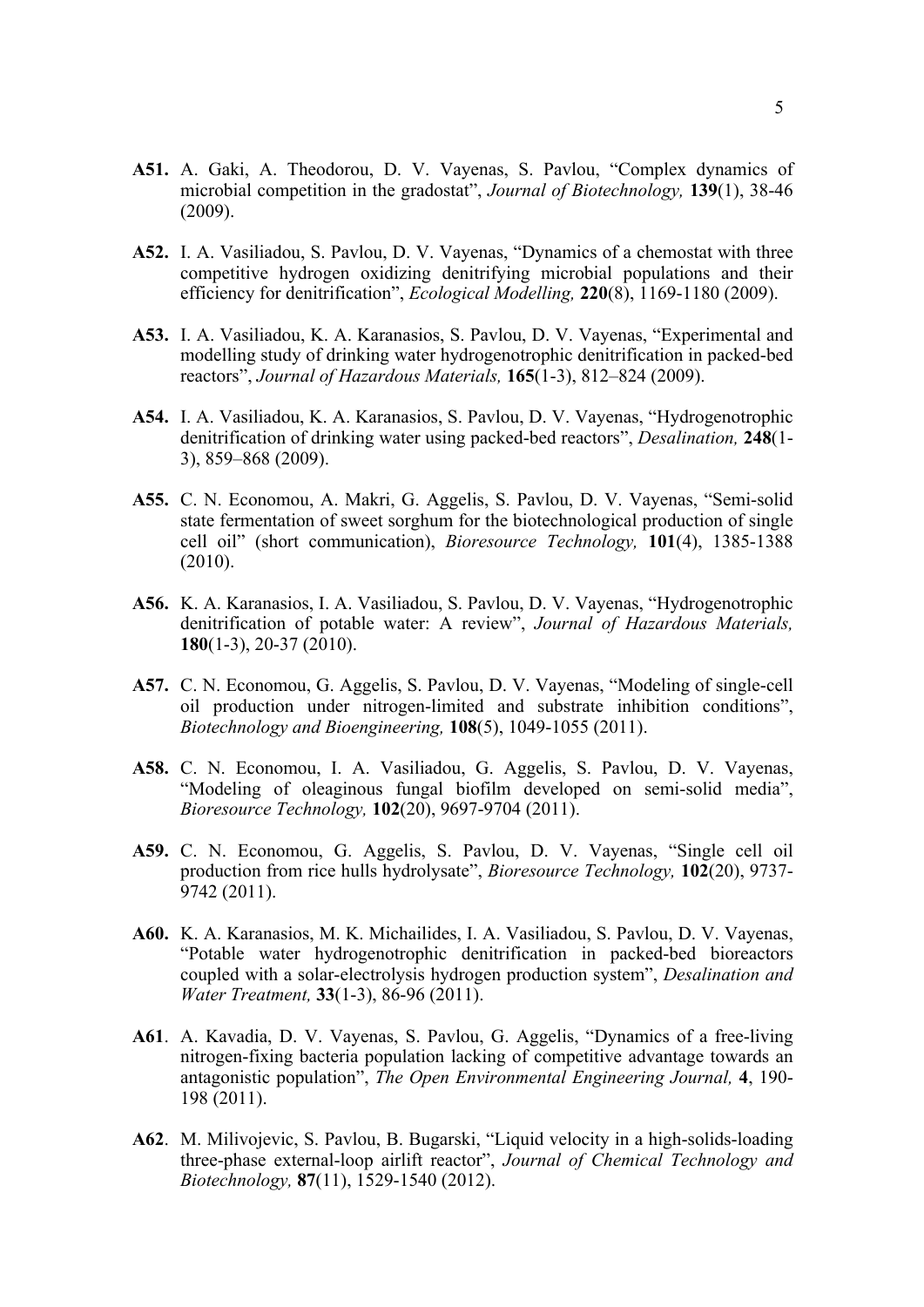- **A51.** A. Gaki, A. Theodorou, D. V. Vayenas, S. Pavlou, "Complex dynamics of microbial competition in the gradostat", *Journal of Biotechnology,* **139**(1), 38-46 (2009).
- **A52.** I. A. Vasiliadou, S. Pavlou, D. V. Vayenas, "Dynamics of a chemostat with three competitive hydrogen oxidizing denitrifying microbial populations and their efficiency for denitrification", *Ecological Modelling,* **220**(8), 1169-1180 (2009).
- **A53.** I. A. Vasiliadou, K. A. Karanasios, S. Pavlou, D. V. Vayenas, "Experimental and modelling study of drinking water hydrogenotrophic denitrification in packed-bed reactors", *Journal of Hazardous Materials,* **165**(1-3), 812–824 (2009).
- **A54.** I. A. Vasiliadou, K. A. Karanasios, S. Pavlou, D. V. Vayenas, "Hydrogenotrophic denitrification of drinking water using packed-bed reactors", *Desalination,* **248**(1- 3), 859–868 (2009).
- **A55.** C. N. Economou, A. Makri, G. Aggelis, S. Pavlou, D. V. Vayenas, "Semi-solid state fermentation of sweet sorghum for the biotechnological production of single cell oil" (short communication), *Bioresource Technology,* **101**(4), 1385-1388 (2010).
- **A56.** K. A. Karanasios, I. A. Vasiliadou, S. Pavlou, D. V. Vayenas, "Hydrogenotrophic denitrification of potable water: A review", *Journal of Hazardous Materials,* **180**(1-3), 20-37 (2010).
- **A57.** C. N. Economou, G. Aggelis, S. Pavlou, D. V. Vayenas, "Modeling of single-cell oil production under nitrogen-limited and substrate inhibition conditions", *Biotechnology and Bioengineering,* **108**(5), 1049-1055 (2011).
- **A58.** C. N. Economou, I. A. Vasiliadou, G. Aggelis, S. Pavlou, D. V. Vayenas, "Modeling of oleaginous fungal biofilm developed on semi-solid media", *Bioresource Technology,* **102**(20), 9697-9704 (2011).
- **A59.** C. N. Economou, G. Aggelis, S. Pavlou, D. V. Vayenas, "Single cell oil production from rice hulls hydrolysate", *Bioresource Technology,* **102**(20), 9737- 9742 (2011).
- **A60.** K. A. Karanasios, M. K. Michailides, I. A. Vasiliadou, S. Pavlou, D. V. Vayenas, "Potable water hydrogenotrophic denitrification in packed-bed bioreactors coupled with a solar-electrolysis hydrogen production system", *Desalination and Water Treatment,* **33**(1-3), 86-96 (2011).
- **A61**. A. Kavadia, D. V. Vayenas, S. Pavlou, G. Aggelis, "Dynamics of a free-living nitrogen-fixing bacteria population lacking of competitive advantage towards an antagonistic population", *The Open Environmental Engineering Journal,* **4**, 190- 198 (2011).
- **A62**. M. Milivojevic, S. Pavlou, B. Bugarski, "Liquid velocity in a high-solids-loading three-phase external-loop airlift reactor", *Journal of Chemical Technology and Biotechnology,* **87**(11), 1529-1540 (2012).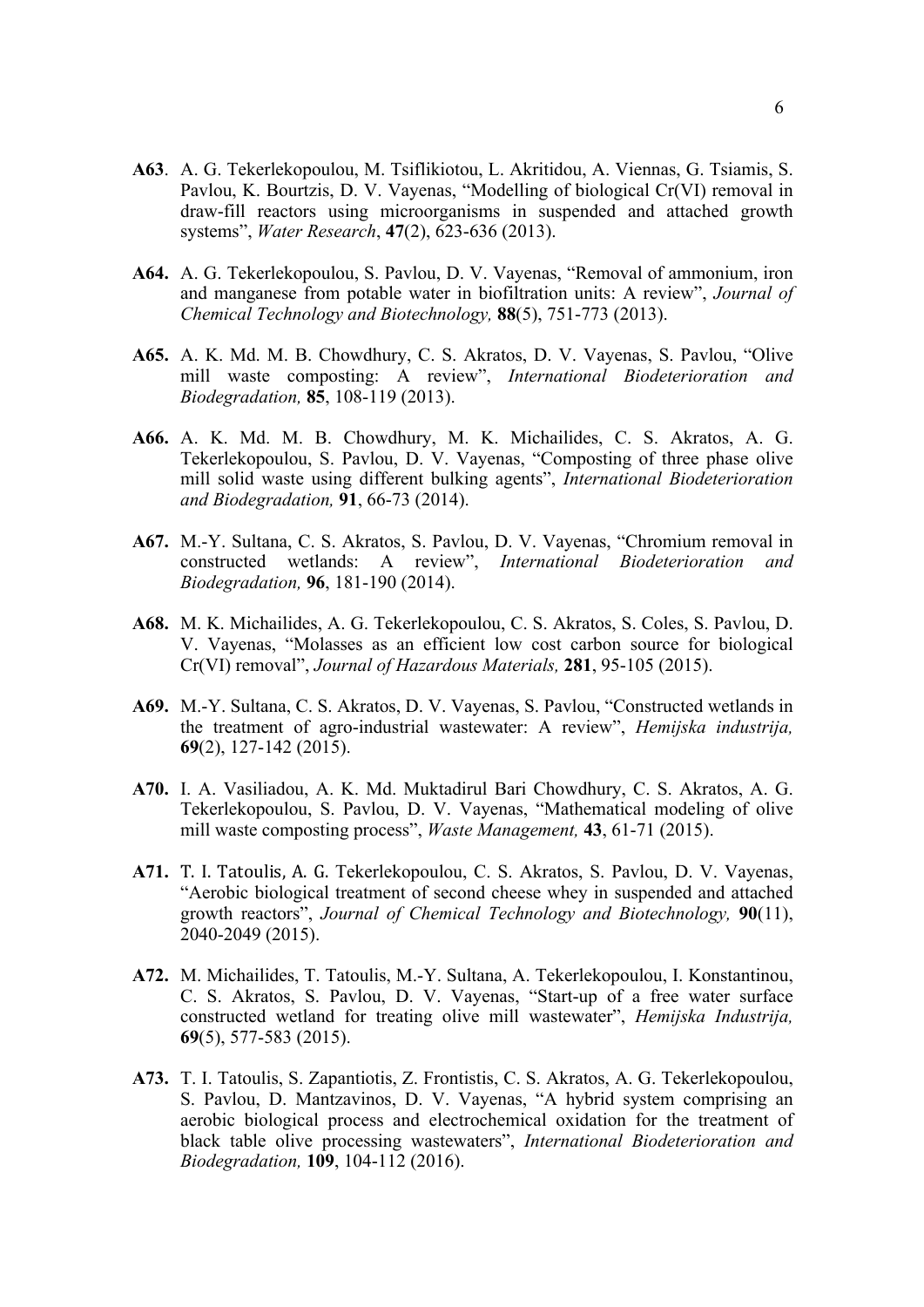- **A63**. A. G. Tekerlekopoulou, M. Tsiflikiotou, L. Akritidou, A. Viennas, G. Tsiamis, S. Pavlou, K. Bourtzis, D. V. Vayenas, "Modelling of biological Cr(VI) removal in draw-fill reactors using microorganisms in suspended and attached growth systems", *Water Research*, **47**(2), 623-636 (2013).
- **A64.** A. G. Tekerlekopoulou, S. Pavlou, D. V. Vayenas, "Removal of ammonium, iron and manganese from potable water in biofiltration units: A review", *Journal of Chemical Technology and Biotechnology,* **88**(5), 751-773 (2013).
- **A65.** A. K. Md. M. B. Chowdhury, C. S. Akratos, D. V. Vayenas, S. Pavlou, "Olive mill waste composting: A review", *International Biodeterioration and Biodegradation,* **85**, 108-119 (2013).
- **A66.** A. K. Md. M. B. Chowdhury, M. K. Michailides, C. S. Akratos, A. G. Tekerlekopoulou, S. Pavlou, D. V. Vayenas, "Composting of three phase olive mill solid waste using different bulking agents", *International Biodeterioration and Biodegradation,* **91**, 66-73 (2014).
- **A67.** M.-Y. Sultana, C. S. Akratos, S. Pavlou, D. V. Vayenas, "Chromium removal in constructed wetlands: A review", *International Biodeterioration and Biodegradation,* **96**, 181-190 (2014).
- **A68.** M. K. Michailides, A. G. Tekerlekopoulou, C. S. Akratos, S. Coles, S. Pavlou, D. V. Vayenas, "Molasses as an efficient low cost carbon source for biological Cr(VI) removal", *Journal of Hazardous Materials,* **281**, 95-105 (2015).
- **A69.** M.-Y. Sultana, C. S. Akratos, D. V. Vayenas, S. Pavlou, "Constructed wetlands in the treatment of agro-industrial wastewater: A review", *Hemijska industrija,* **69**(2), 127-142 (2015).
- **A70.** I. A. Vasiliadou, A. K. Md. Muktadirul Bari Chowdhury, C. S. Akratos, A. G. Tekerlekopoulou, S. Pavlou, D. V. Vayenas, "Mathematical modeling of olive mill waste composting process", *Waste Management,* **43**, 61-71 (2015).
- A71. T. I. Tatoulis, A. G. Tekerlekopoulou, C. S. Akratos, S. Pavlou, D. V. Vayenas, "Aerobic biological treatment of second cheese whey in suspended and attached growth reactors", *Journal of Chemical Technology and Biotechnology,* **90**(11), 2040-2049 (2015).
- **A72.** M. Michailides, T. Tatoulis, M.-Y. Sultana, A. Tekerlekopoulou, I. Konstantinou, C. S. Akratos, S. Pavlou, D. V. Vayenas, "Start-up of a free water surface constructed wetland for treating olive mill wastewater", *Hemijska Industrija,* **69**(5), 577-583 (2015).
- **A73.** T. I. Tatoulis, S. Zapantiotis, Z. Frontistis, C. S. Akratos, A. G. Tekerlekopoulou, S. Pavlou, D. Mantzavinos, D. V. Vayenas, "A hybrid system comprising an aerobic biological process and electrochemical oxidation for the treatment of black table olive processing wastewaters", *International Biodeterioration and Biodegradation,* **109**, 104-112 (2016).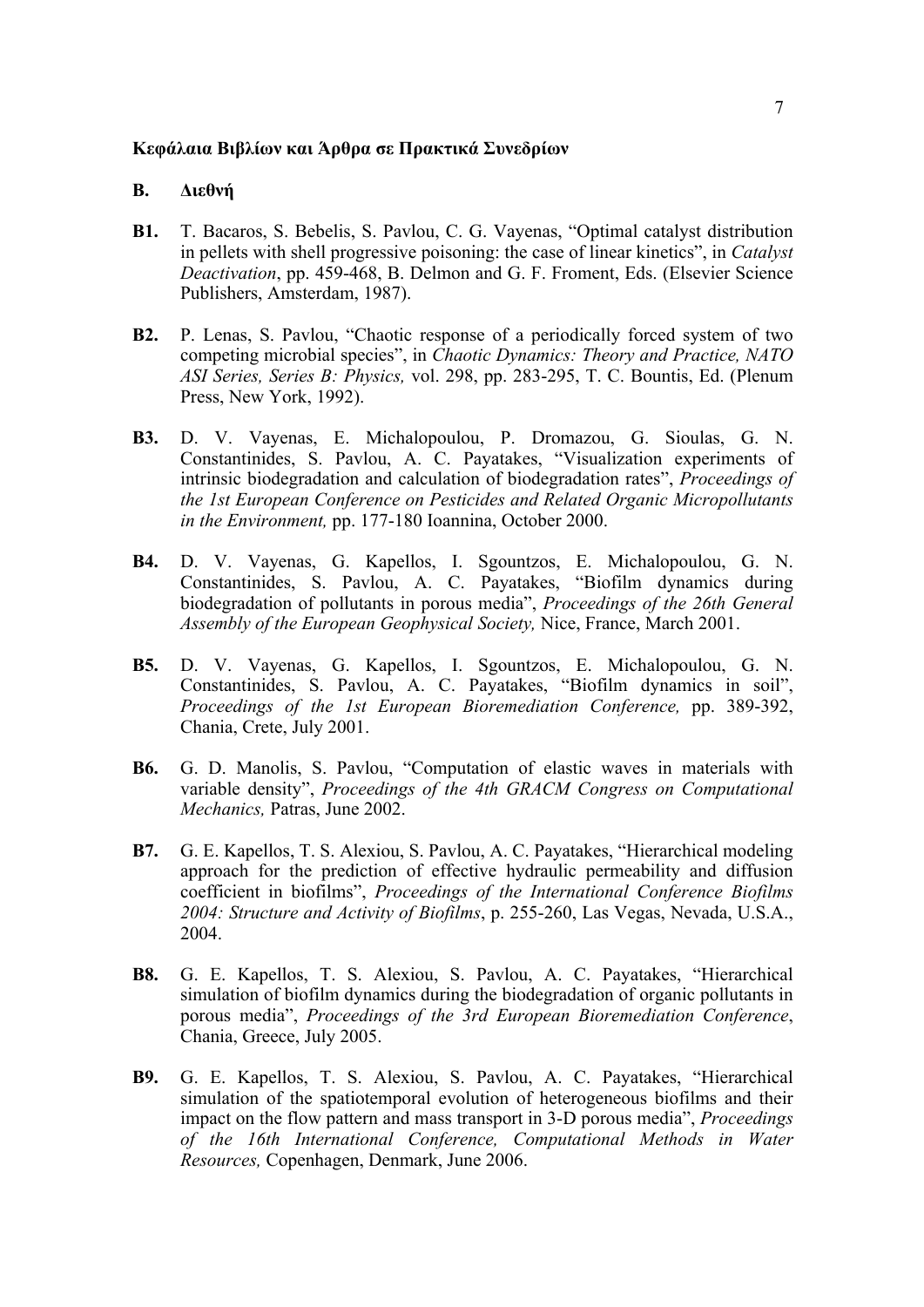### **Kεφάλαια Bιβλίων και Άρθρα σε Πρακτικά Συνεδρίων**

### **B. Διεθνή**

- **B1.** T. Bacaros, S. Bebelis, S. Pavlou, C. G. Vayenas, "Optimal catalyst distribution in pellets with shell progressive poisoning: the case of linear kinetics", in *Catalyst Deactivation*, pp. 459-468, B. Delmon and G. F. Froment, Eds. (Elsevier Science Publishers, Amsterdam, 1987).
- **B2.** P. Lenas, S. Pavlou, "Chaotic response of a periodically forced system of two competing microbial species", in *Chaotic Dynamics: Theory and Practice, NATO ASI Series, Series B: Physics,* vol. 298, pp. 283-295, T. C. Bountis, Ed. (Plenum Press, New York, 1992).
- **B3.** D. V. Vayenas, E. Michalopoulou, P. Dromazou, G. Sioulas, G. N. Constantinides, S. Pavlou, A. C. Payatakes, "Visualization experiments of intrinsic biodegradation and calculation of biodegradation rates", *Proceedings of the 1st European Conference on Pesticides and Related Organic Micropollutants in the Environment,* pp. 177-180 Ioannina, October 2000.
- **B4.** D. V. Vayenas, G. Kapellos, I. Sgountzos, E. Michalopoulou, G. N. Constantinides, S. Pavlou, A. C. Payatakes, "Biofilm dynamics during biodegradation of pollutants in porous media", *Proceedings of the 26th General Assembly of the European Geophysical Society,* Nice, France, March 2001.
- **B5.** D. V. Vayenas, G. Kapellos, I. Sgountzos, E. Michalopoulou, G. N. Constantinides, S. Pavlou, A. C. Payatakes, "Biofilm dynamics in soil", *Proceedings of the 1st European Bioremediation Conference,* pp. 389-392, Chania, Crete, July 2001.
- **B6.** G. D. Manolis, S. Pavlou, "Computation of elastic waves in materials with variable density", *Proceedings of the 4th GRACM Congress on Computational Mechanics,* Patras, June 2002.
- **B7.** G. E. Kapellos, T. S. Alexiou, S. Pavlou, A. C. Payatakes, "Hierarchical modeling approach for the prediction of effective hydraulic permeability and diffusion coefficient in biofilms", *Proceedings of the International Conference Biofilms 2004: Structure and Activity of Biofilms*, p. 255-260, Las Vegas, Nevada, U.S.A., 2004.
- **B8.** G. E. Kapellos, T. S. Alexiou, S. Pavlou, A. C. Payatakes, "Hierarchical simulation of biofilm dynamics during the biodegradation of organic pollutants in porous media", *Proceedings of the 3rd European Bioremediation Conference*, Chania, Greece, July 2005.
- **B9.** G. E. Kapellos, T. S. Alexiou, S. Pavlou, A. C. Payatakes, "Hierarchical simulation of the spatiotemporal evolution of heterogeneous biofilms and their impact on the flow pattern and mass transport in 3-D porous media", *Proceedings of the 16th International Conference, Computational Methods in Water Resources,* Copenhagen, Denmark, June 2006.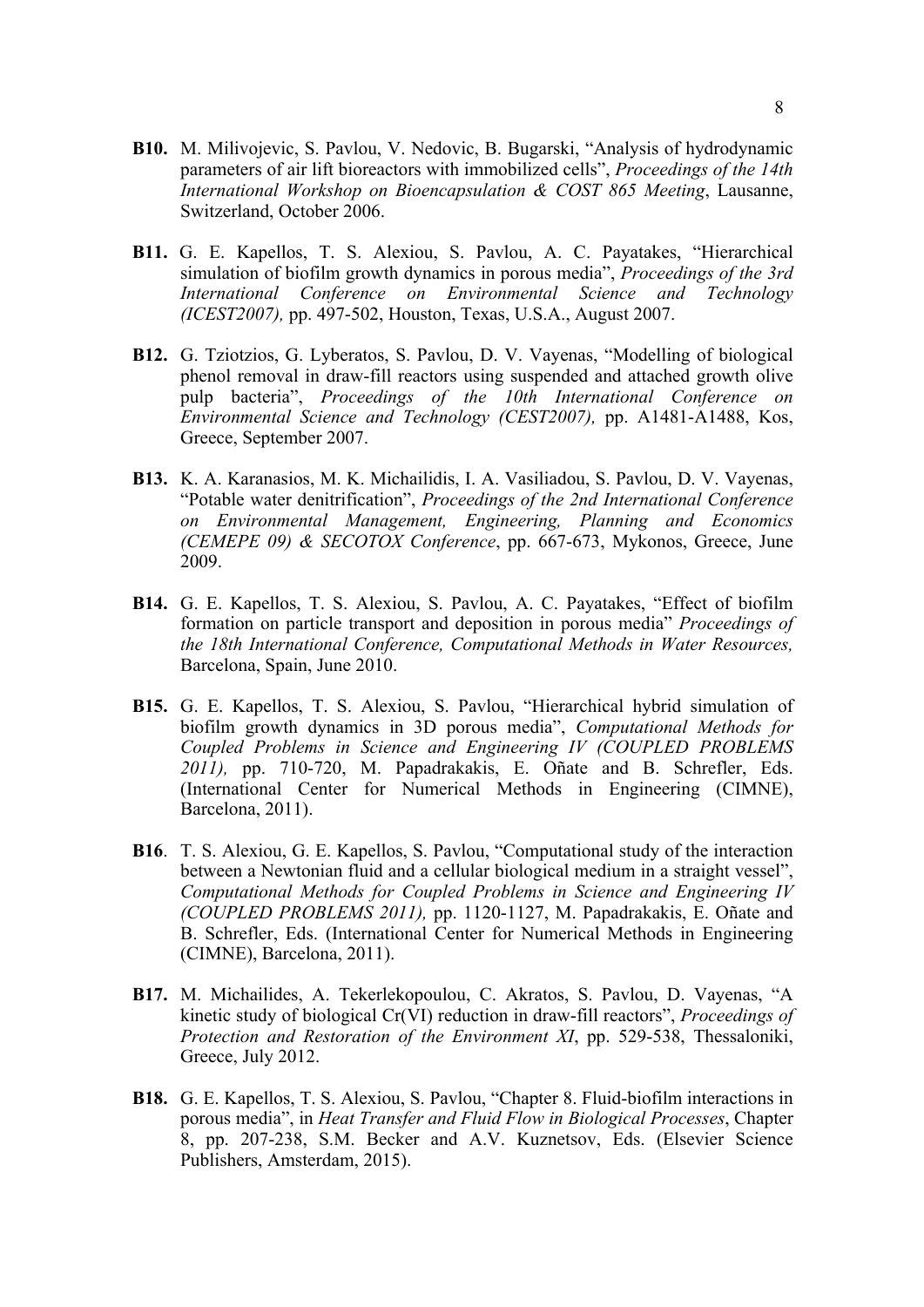- **B10.** M. Milivojevic, S. Pavlou, V. Nedovic, B. Bugarski, "Analysis of hydrodynamic parameters of air lift bioreactors with immobilized cells", *Proceedings of the 14th International Workshop on Bioencapsulation & COST 865 Meeting*, Lausanne, Switzerland, October 2006.
- **B11.** G. E. Kapellos, T. S. Alexiou, S. Pavlou, A. C. Payatakes, "Hierarchical simulation of biofilm growth dynamics in porous media", *Proceedings of the 3rd International Conference on Environmental Science and Technology (ICEST2007),* pp. 497-502, Houston, Texas, U.S.A., August 2007.
- **B12.** G. Tziotzios, G. Lyberatos, S. Pavlou, D. V. Vayenas, "Modelling of biological phenol removal in draw-fill reactors using suspended and attached growth olive pulp bacteria", *Proceedings of the 10th International Conference on Environmental Science and Technology (CEST2007),* pp. A1481-A1488, Kos, Greece, September 2007.
- **B13.** K. A. Karanasios, M. K. Michailidis, I. A. Vasiliadou, S. Pavlou, D. V. Vayenas, "Potable water denitrification", *Proceedings of the 2nd International Conference on Environmental Management, Engineering, Planning and Economics (CEMEPE 09) & SECOTOX Conference*, pp. 667-673, Mykonos, Greece, June 2009.
- **B14.** G. E. Kapellos, T. S. Alexiou, S. Pavlou, A. C. Payatakes, "Effect of biofilm formation on particle transport and deposition in porous media" *Proceedings of the 18th International Conference, Computational Methods in Water Resources,* Barcelona, Spain, June 2010.
- **B15.** G. E. Kapellos, T. S. Alexiou, S. Pavlou, "Hierarchical hybrid simulation of biofilm growth dynamics in 3D porous media", *Computational Methods for Coupled Problems in Science and Engineering IV (COUPLED PROBLEMS 2011),* pp. 710-720, M. Papadrakakis, E. Oñate and B. Schrefler, Eds. (International Center for Numerical Methods in Engineering (CIMNE), Barcelona, 2011).
- **B16**. T. S. Alexiou, G. E. Kapellos, S. Pavlou, "Computational study of the interaction between a Newtonian fluid and a cellular biological medium in a straight vessel", *Computational Methods for Coupled Problems in Science and Engineering IV (COUPLED PROBLEMS 2011),* pp. 1120-1127, M. Papadrakakis, E. Oñate and B. Schrefler, Eds. (International Center for Numerical Methods in Engineering (CIMNE), Barcelona, 2011).
- **B17.** M. Michailides, A. Tekerlekopoulou, C. Akratos, S. Pavlou, D. Vayenas, "A kinetic study of biological Cr(VI) reduction in draw-fill reactors", *Proceedings of Protection and Restoration of the Environment XI*, pp. 529-538, Thessaloniki, Greece, July 2012.
- **B18.** G. E. Kapellos, T. S. Alexiou, S. Pavlou, "Chapter 8. Fluid-biofilm interactions in porous media", in *Heat Transfer and Fluid Flow in Biological Processes*, Chapter 8, pp. 207-238, S.M. Becker and A.V. Kuznetsov, Eds. (Elsevier Science Publishers, Amsterdam, 2015).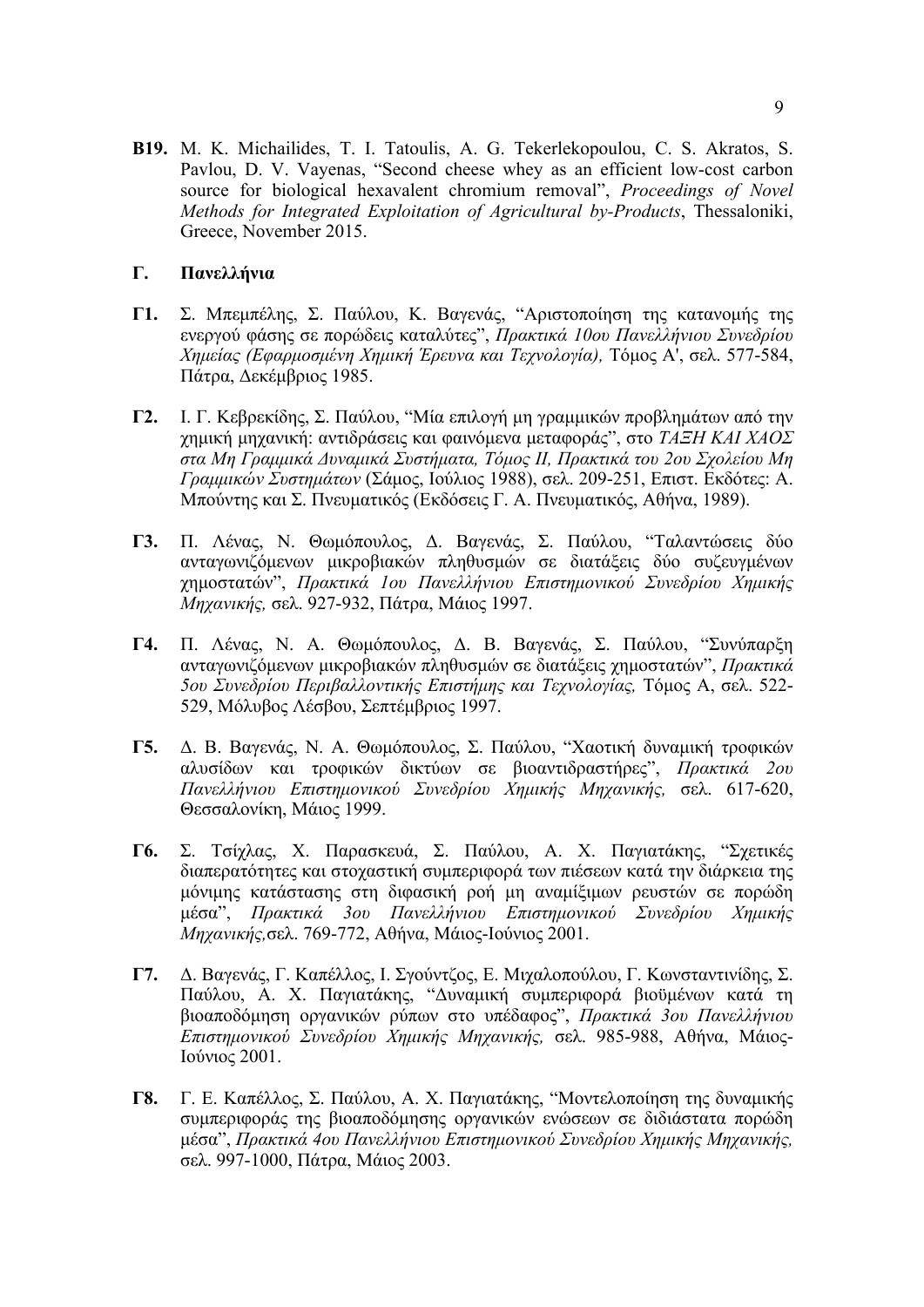**B19.** M. K. Michailides, T. I. Tatoulis, A. G. Tekerlekopoulou, C. S. Akratos, S. Pavlou, D. V. Vayenas, "Second cheese whey as an efficient low-cost carbon source for biological hexavalent chromium removal", *Proceedings of Novel Methods for Integrated Exploitation of Agricultural by-Products*, Thessaloniki, Greece, November 2015.

## **Γ. Πανελλήνια**

- **Γ1.** Σ. Mπεµπέλης, Σ. Παύλου, K. Bαγενάς, "Aριστοποίηση της κατανοµής της ενεργού φάσης σε πορώδεις καταλύτες", *Πρακτικά 10ου Πανελλήνιου Συνεδρίου Xηµείας (Eφαρµοσµένη Xηµική Έρευνα και Tεχνολογία),* Tόµος A', σελ. 577-584, Πάτρα, Δεκέµβριος 1985.
- **Γ2.** I. Γ. Kεβρεκίδης, Σ. Παύλου, "Mία επιλογή µη γραµµικών προβληµάτων από την χηµική µηχανική: αντιδράσεις και φαινόµενα µεταφοράς", στο *TAΞH KAI XAOΣ* στα Μη Γραμμικά Δυναμικά Συστήματα, Τόμος ΙΙ, Πρακτικά του 2ου Σχολείου Μη *Γραµµικών Συστηµάτων* (Σάµος, Iούλιος 1988), σελ. 209-251, Eπιστ. Eκδότες: A. Mπούντης και Σ. Πνευµατικός (Eκδόσεις Γ. A. Πνευµατικός, Aθήνα, 1989).
- **Γ3.** Π. Λένας, N. Θωµόπουλος, Δ. Bαγενάς, Σ. Παύλου, "Tαλαντώσεις δύο ανταγωνιζόµενων µικροβιακών πληθυσµών σε διατάξεις δύο συζευγµένων χηµοστατών", *Πρακτικά 1ου Πανελλήνιου Eπιστηµονικού Συνεδρίου Xηµικής Mηχανικής,* σελ. 927-932, Πάτρα, Mάιος 1997.
- **Γ4.** Π. Λένας, N. A. Θωµόπουλος, Δ. B. Bαγενάς, Σ. Παύλου, "Συνύπαρξη ανταγωνιζόµενων µικροβιακών πληθυσµών σε διατάξεις χηµοστατών", *Πρακτικά 5ου Συνεδρίου Περιβαλλοντικής Eπιστήµης και Tεχνολογίας,* Tόµος A, σελ. 522- 529, Mόλυβος Λέσβου, Σεπτέµβριος 1997.
- **Γ5.** Δ. B. Bαγενάς, N. A. Θωµόπουλος, Σ. Παύλου, "Xαοτική δυναµική τροφικών αλυσίδων και τροφικών δικτύων σε βιοαντιδραστήρες", *Πρακτικά 2ου Πανελλήνιου Eπιστηµονικού Συνεδρίου Xηµικής Mηχανικής,* σελ. 617-620, Θεσσαλονίκη, Mάιος 1999.
- **Γ6.** Σ. Tσίχλας, X. Παρασκευά, Σ. Παύλου, Α. Χ. Παγιατάκης, "Σχετικές διαπερατότητες και στοχαστική συµπεριφορά των πιέσεων κατά την διάρκεια της µόνιµης κατάστασης στη διφασική ροή µη αναµίξιµων ρευστών σε πορώδη µέσα", *Πρακτικά 3ου Πανελλήνιου Eπιστηµονικού Συνεδρίου Xηµικής Mηχανικής,*σελ. 769-772, Αθήνα, Mάιος-Ιούνιος 2001.
- **Γ7.** Δ. Βαγενάς, Γ. Καπέλλος, Ι. Σγούντζος, Ε. Μιχαλοπούλου, Γ. Κωνσταντινίδης, Σ. Παύλου, Α. Χ. Παγιατάκης, "Δυναµική συµπεριφορά βιοϋµένων κατά τη βιοαποδόµηση οργανικών ρύπων στο υπέδαφος", *Πρακτικά 3ου Πανελλήνιου Eπιστηµονικού Συνεδρίου Xηµικής Mηχανικής,* σελ. 985-988, Αθήνα, Mάιος-Ιούνιος 2001.
- **Γ8.** Γ. Ε. Καπέλλος, Σ. Παύλου, Α. Χ. Παγιατάκης, "Μοντελοποίηση της δυναµικής συµπεριφοράς της βιοαποδόµησης οργανικών ενώσεων σε διδιάστατα πορώδη µέσα", *Πρακτικά 4ου Πανελλήνιου Eπιστηµονικού Συνεδρίου Xηµικής Mηχανικής,* σελ. 997-1000, Πάτρα, Mάιος 2003.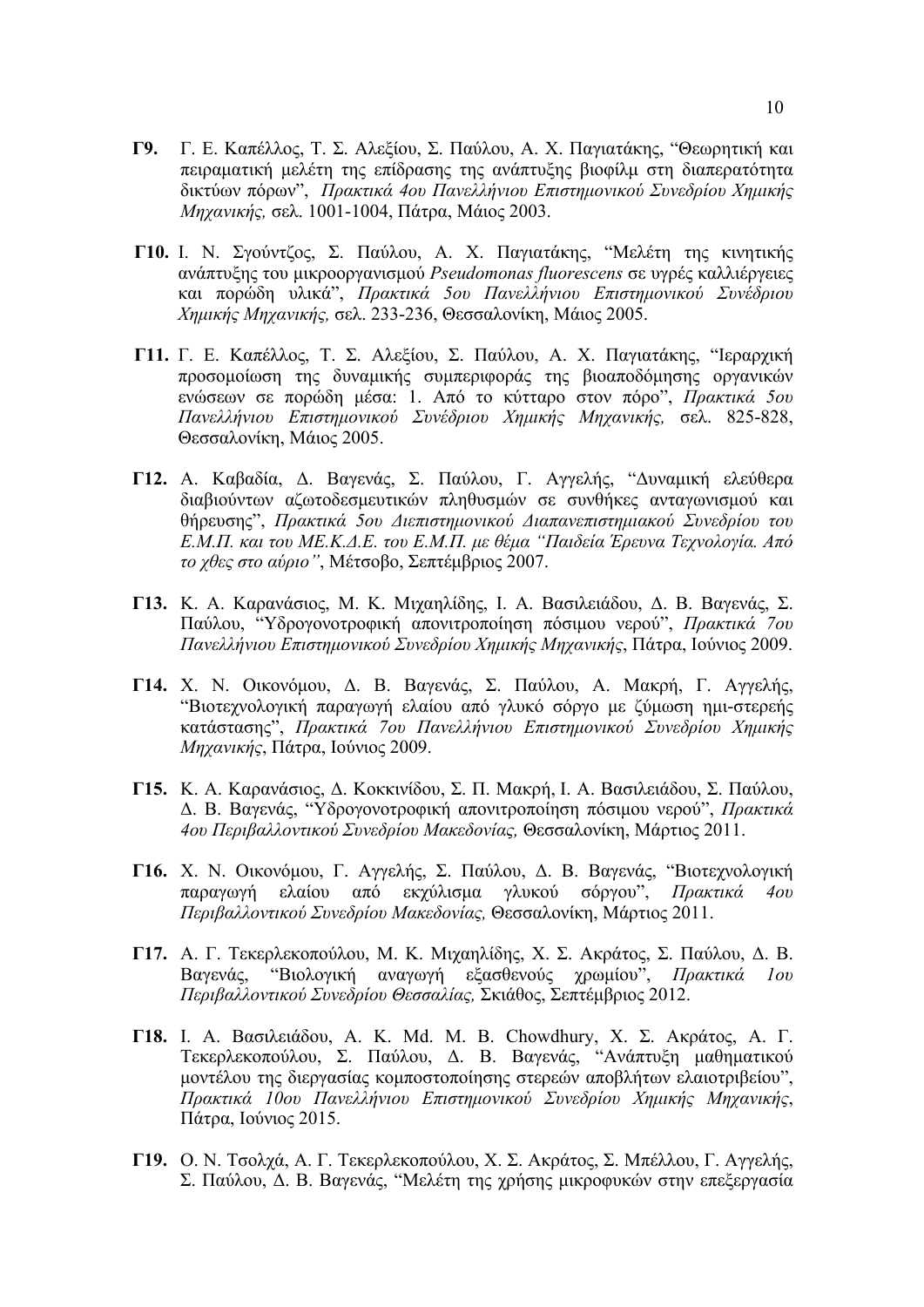- **Γ9.** Γ. Ε. Καπέλλος, Τ. Σ. Αλεξίου, Σ. Παύλου, Α. Χ. Παγιατάκης, "Θεωρητική και πειραµατική µελέτη της επίδρασης της ανάπτυξης βιοφίλµ στη διαπερατότητα δικτύων πόρων", *Πρακτικά 4ου Πανελλήνιου Eπιστηµονικού Συνεδρίου Xηµικής Mηχανικής,* σελ. 1001-1004, Πάτρα, Mάιος 2003.
- **Γ10.** Ι. Ν. Σγούντζος, Σ. Παύλου, Α. Χ. Παγιατάκης, "Μελέτη της κινητικής ανάπτυξης του µικροοργανισµού *Pseudomonas fluorescens* σε υγρές καλλιέργειες και πορώδη υλικά", *Πρακτικά 5ου Πανελλήνιου Eπιστηµονικού Συνέδριου Xηµικής Mηχανικής,* σελ. 233-236, Θεσσαλονίκη, Mάιος 2005.
- **Γ11.** Γ. Ε. Καπέλλος, Τ. Σ. Αλεξίου, Σ. Παύλου, Α. Χ. Παγιατάκης, "Ιεραρχική προσοµοίωση της δυναµικής συµπεριφοράς της βιοαποδόµησης οργανικών ενώσεων σε πορώδη µέσα: 1. Από το κύτταρο στον πόρο", *Πρακτικά 5ου Πανελλήνιου Eπιστηµονικού Συνέδριου Xηµικής Mηχανικής,* σελ. 825-828, Θεσσαλονίκη, Mάιος 2005.
- **Γ12.** Α. Καβαδία, Δ. Βαγενάς, Σ. Παύλου, Γ. Αγγελής, "Δυναµική ελεύθερα διαβιούντων αζωτοδεσµευτικών πληθυσµών σε συνθήκες ανταγωνισµού και θήρευσης", *Πρακτικά 5oυ Διεπιστηµονικού Διαπανεπιστηµιακού Συνεδρίου του* Ε.Μ.Π. και του ΜΕ.Κ.Δ.Ε. του Ε.Μ.Π. με θέμα "Παιδεία Έρευνα Τεχνολογία. Από *το χθες στο αύριο"*, Μέτσοβο, Σεπτέµβριος 2007.
- **Γ13.** Κ. Α. Καρανάσιος, Μ. Κ. Μιχαηλίδης, I. A. Βασιλειάδου, Δ. Β. Βαγενάς, Σ. Παύλου, "Υδρογονοτροφική απονιτροποίηση πόσιµου νερού", *Πρακτικά 7ου Πανελλήνιου Eπιστηµονικού Συνεδρίου Xηµικής Mηχανικής*, Πάτρα, Ιούνιος 2009.
- **Γ14.** Χ. Ν. Οικονόµου, Δ. Β. Βαγενάς, Σ. Παύλου, Α. Μακρή, Γ. Αγγελής, "Βιοτεχνολογική παραγωγή ελαίου από γλυκό σόργο µε ζύµωση ηµι-στερεής κατάστασης", *Πρακτικά 7ου Πανελλήνιου Eπιστηµονικού Συνεδρίου Xηµικής Mηχανικής*, Πάτρα, Ιούνιος 2009.
- **Γ15.** Κ. A. Καρανάσιος, Δ. Κοκκινίδου, Σ. Π. Μακρή, Ι. A. Βασιλειάδου, Σ. Παύλου, Δ. B. Βαγενάς, "Υδρογονοτροφική απονιτροποίηση πόσιµου νερού", *Πρακτικά 4ου Περιβαλλοντικού Συνεδρίου Μακεδονίας,* Θεσσαλονίκη, Μάρτιος 2011.
- **Γ16.** Χ. Ν. Οικονόµου, Γ. Αγγελής, Σ. Παύλου, Δ. Β. Βαγενάς, "Βιοτεχνολογική παραγωγή ελαίου από εκχύλισµα γλυκού σόργου", *Πρακτικά 4ου Περιβαλλοντικού Συνεδρίου Μακεδονίας,* Θεσσαλονίκη, Μάρτιος 2011.
- **Γ17.** Α. Γ. Τεκερλεκοπούλου, Μ. Κ. Μιχαηλίδης, Χ. Σ. Ακράτος, Σ. Παύλου, Δ. Β. Βαγενάς, "Βιολογική αναγωγή εξασθενούς χρωµίου", *Πρακτικά 1ου Περιβαλλοντικού Συνεδρίου Θεσσαλίας,* Σκιάθος, Σεπτέµβριος 2012.
- **Γ18.** Ι. A. Βασιλειάδου, A. K. Md. M. B. Chowdhury, Χ. Σ. Ακράτος, Α. Γ. Τεκερλεκοπούλου, Σ. Παύλου, Δ. Β. Βαγενάς, "Ανάπτυξη µαθηµατικού µοντέλου της διεργασίας κοµποστοποίησης στερεών αποβλήτων ελαιοτριβείου", *Πρακτικά 10ου Πανελλήνιου Eπιστηµονικού Συνεδρίου Xηµικής Mηχανικής*, Πάτρα, Ιούνιος 2015.
- **Γ19.** Ο. Ν. Τσολχά, Α. Γ. Τεκερλεκοπούλου, Χ. Σ. Ακράτος, Σ. Μπέλλου, Γ. Αγγελής, Σ. Παύλου, Δ. Β. Βαγενάς, "Μελέτη της χρήσης µικροφυκών στην επεξεργασία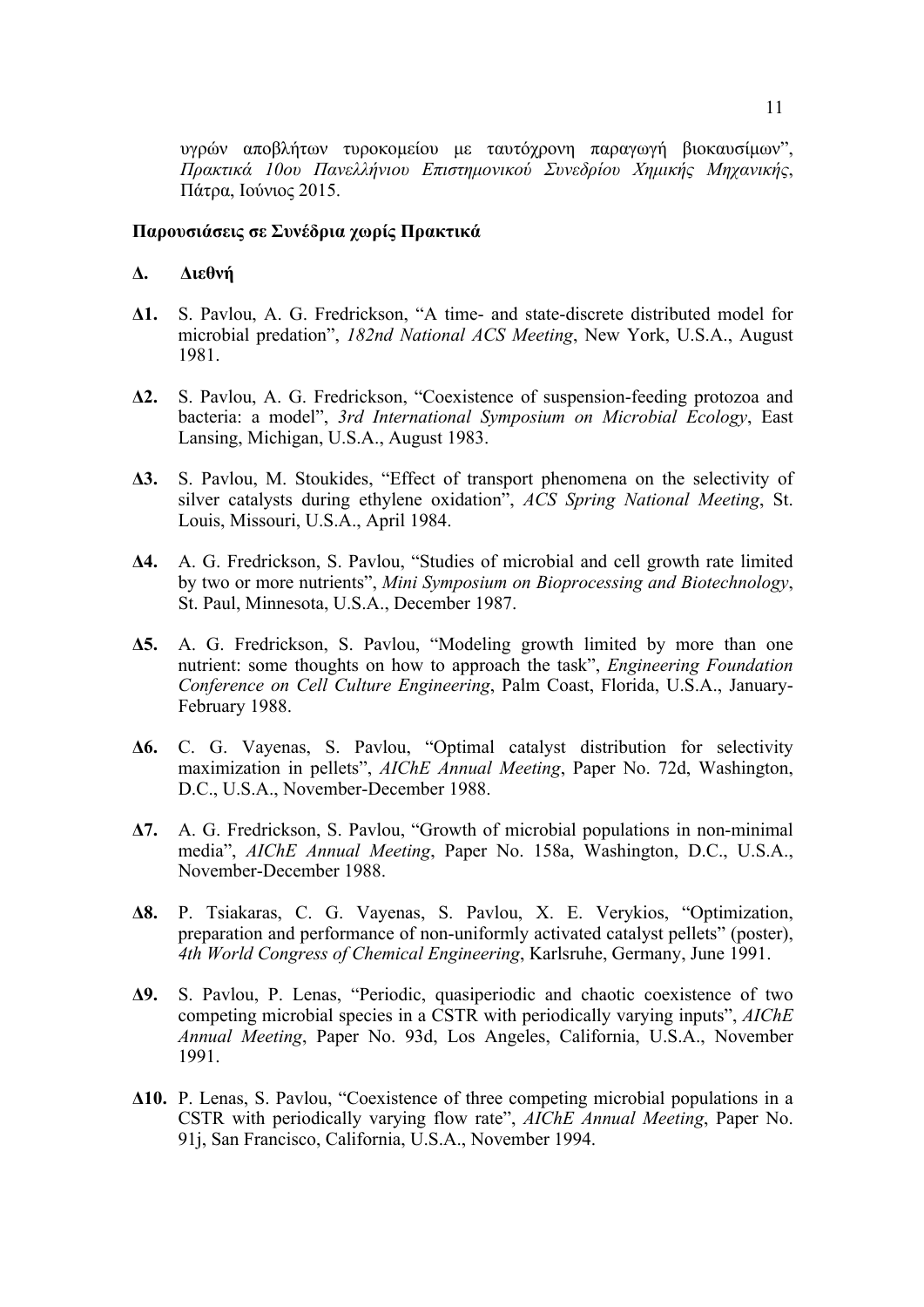υγρών αποβλήτων τυροκοµείου µε ταυτόχρονη παραγωγή βιοκαυσίµων", *Πρακτικά 10ου Πανελλήνιου Eπιστηµονικού Συνεδρίου Xηµικής Mηχανικής*, Πάτρα, Ιούνιος 2015.

### **Παρουσιάσεις σε Συνέδρια χωρίς Πρακτικά**

### **Δ. Διεθνή**

- **Δ1.** S. Pavlou, A. G. Fredrickson, "A time- and state-discrete distributed model for microbial predation", *182nd National ACS Meeting*, New York, U.S.A., August 1981.
- **Δ2.** S. Pavlou, A. G. Fredrickson, "Coexistence of suspension-feeding protozoa and bacteria: a model", *3rd International Symposium on Microbial Ecology*, East Lansing, Michigan, U.S.A., August 1983.
- **Δ3.** S. Pavlou, M. Stoukides, "Effect of transport phenomena on the selectivity of silver catalysts during ethylene oxidation", *ACS Spring National Meeting*, St. Louis, Missouri, U.S.A., April 1984.
- **Δ4.** A. G. Fredrickson, S. Pavlou, "Studies of microbial and cell growth rate limited by two or more nutrients", *Mini Symposium on Bioprocessing and Biotechnology*, St. Paul, Minnesota, U.S.A., December 1987.
- **Δ5.** A. G. Fredrickson, S. Pavlou, "Modeling growth limited by more than one nutrient: some thoughts on how to approach the task", *Engineering Foundation Conference on Cell Culture Engineering*, Palm Coast, Florida, U.S.A., January-February 1988.
- **Δ6.** C. G. Vayenas, S. Pavlou, "Optimal catalyst distribution for selectivity maximization in pellets", *AIChE Annual Meeting*, Paper No. 72d, Washington, D.C., U.S.A., November-December 1988.
- **Δ7.** A. G. Fredrickson, S. Pavlou, "Growth of microbial populations in non-minimal media", *AIChE Annual Meeting*, Paper No. 158a, Washington, D.C., U.S.A., November-December 1988.
- **Δ8.** P. Tsiakaras, C. G. Vayenas, S. Pavlou, X. E. Verykios, "Optimization, preparation and performance of non-uniformly activated catalyst pellets" (poster), *4th World Congress of Chemical Engineering*, Karlsruhe, Germany, June 1991.
- **Δ9.** S. Pavlou, P. Lenas, "Periodic, quasiperiodic and chaotic coexistence of two competing microbial species in a CSTR with periodically varying inputs", *AIChE Annual Meeting*, Paper No. 93d, Los Angeles, California, U.S.A., November 1991.
- **Δ10.** P. Lenas, S. Pavlou, "Coexistence of three competing microbial populations in a CSTR with periodically varying flow rate", *AIChE Annual Meeting*, Paper No. 91j, San Francisco, California, U.S.A., November 1994.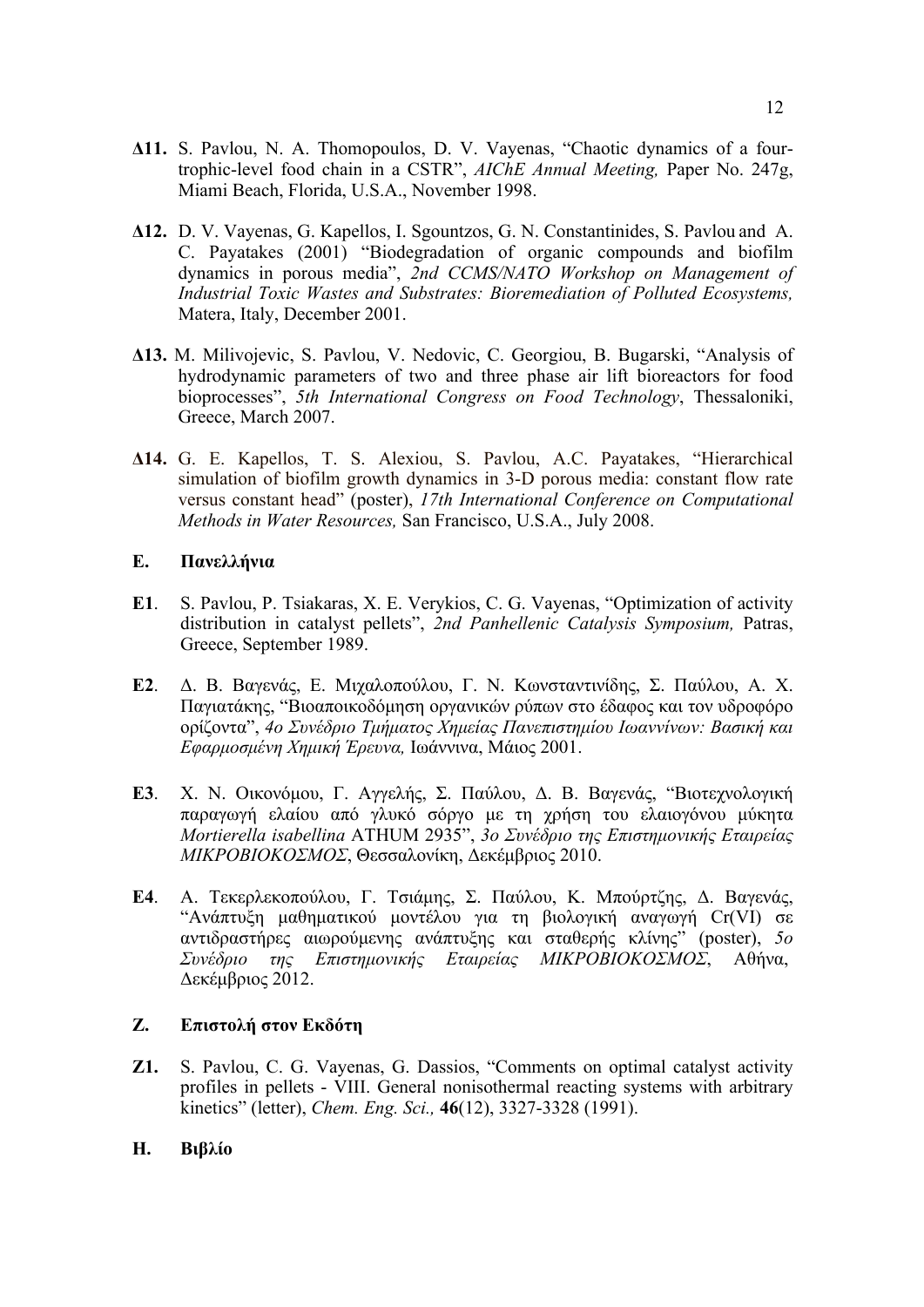- **Δ11.** S. Pavlou, N. A. Thomopoulos, D. V. Vayenas, "Chaotic dynamics of a fourtrophic-level food chain in a CSTR", *AIChE Annual Meeting,* Paper No. 247g, Miami Beach, Florida, U.S.A., November 1998.
- **Δ12.** D. V. Vayenas, G. Kapellos, I. Sgountzos, G. N. Constantinides, S. Pavlou and A. C. Payatakes (2001) "Biodegradation of organic compounds and biofilm dynamics in porous media", *2nd CCMS/NATO Workshop on Management of Industrial Toxic Wastes and Substrates: Bioremediation of Polluted Ecosystems,* Matera, Italy, December 2001.
- **Δ13.** M. Milivojevic, S. Pavlou, V. Nedovic, C. Georgiou, B. Bugarski, "Analysis of hydrodynamic parameters of two and three phase air lift bioreactors for food bioprocesses", *5th International Congress on Food Technology*, Thessaloniki, Greece, March 2007.
- **Δ14.** G. E. Kapellos, T. S. Alexiou, S. Pavlou, A.C. Payatakes, "Hierarchical simulation of biofilm growth dynamics in 3-D porous media: constant flow rate versus constant head" (poster), *17th International Conference on Computational Methods in Water Resources,* San Francisco, U.S.A., July 2008.

### **Ε. Πανελλήνια**

- **Ε1**. S. Pavlou, P. Tsiakaras, X. E. Verykios, C. G. Vayenas, "Optimization of activity distribution in catalyst pellets", *2nd Panhellenic Catalysis Symposium,* Patras, Greece, September 1989.
- **Ε2**. Δ. Β. Βαγενάς, Ε. Μιχαλοπούλου, Γ. Ν. Κωνσταντινίδης, Σ. Παύλου, Α. Χ. Παγιατάκης, "Βιοαποικοδόµηση οργανικών ρύπων στο έδαφος και τον υδροφόρο ορίζοντα", *4ο Συνέδριο Τµήµατος Χηµείας Πανεπιστηµίου Ιωαννίνων: Βασική και Εφαρµοσµένη Χηµική Έρευνα,* Ιωάννινα, Μάιος 2001.
- **Ε3**. Χ. Ν. Οικονόµου, Γ. Αγγελής, Σ. Παύλου, Δ. Β. Βαγενάς, "Βιοτεχνολογική παραγωγή ελαίου από γλυκό σόργο µε τη χρήση του ελαιογόνου µύκητα *Mortierella isabellina* ATHUM 2935", *3o Συνέδριο της Επιστηµονικής Εταιρείας ΜΙΚΡΟΒΙΟΚΟΣΜΟΣ*, Θεσσαλονίκη, Δεκέµβριος 2010.
- **Ε4**. Α. Τεκερλεκοπούλου, Γ. Τσιάµης, Σ. Παύλου, Κ. Μπούρτζης, Δ. Βαγενάς, "Ανάπτυξη µαθηµατικού µοντέλου για τη βιολογική αναγωγή Cr(VI) σε αντιδραστήρες αιωρούµενης ανάπτυξης και σταθερής κλίνης" (poster), *5ο Συνέδριο της Επιστηµονικής Εταιρείας ΜΙΚΡΟΒΙΟΚΟΣΜΟΣ*, Αθήνα, Δεκέµβριος 2012.

# **Ζ. Eπιστολή στον Eκδότη**

- **Ζ1.** S. Pavlou, C. G. Vayenas, G. Dassios, "Comments on optimal catalyst activity profiles in pellets - VIII. General nonisothermal reacting systems with arbitrary kinetics" (letter), *Chem. Eng. Sci.,* **46**(12), 3327-3328 (1991).
- **Η. Βιβλίο**